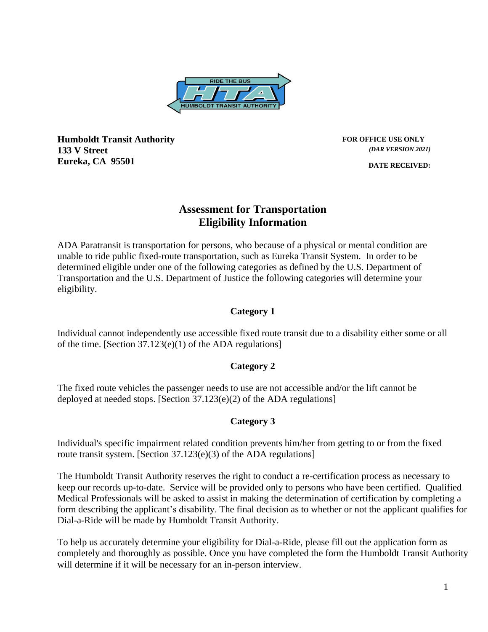

**Humboldt Transit Authority <b>FOR OFFICE USE ONLY FOR OFFICE USE ONLY 133 V Street Eureka, CA 95501**

*(DAR VERSION 2021)*

**DATE RECEIVED:**

### **Assessment for Transportation Eligibility Information**

ADA Paratransit is transportation for persons, who because of a physical or mental condition are unable to ride public fixed-route transportation, such as Eureka Transit System. In order to be determined eligible under one of the following categories as defined by the U.S. Department of Transportation and the U.S. Department of Justice the following categories will determine your eligibility.

#### **Category 1**

Individual cannot independently use accessible fixed route transit due to a disability either some or all of the time. [Section 37.123(e)(1) of the ADA regulations]

#### **Category 2**

The fixed route vehicles the passenger needs to use are not accessible and/or the lift cannot be deployed at needed stops. [Section 37.123(e)(2) of the ADA regulations]

#### **Category 3**

Individual's specific impairment related condition prevents him/her from getting to or from the fixed route transit system. [Section 37.123(e)(3) of the ADA regulations]

The Humboldt Transit Authority reserves the right to conduct a re-certification process as necessary to keep our records up-to-date. Service will be provided only to persons who have been certified. Qualified Medical Professionals will be asked to assist in making the determination of certification by completing a form describing the applicant's disability. The final decision as to whether or not the applicant qualifies for Dial-a-Ride will be made by Humboldt Transit Authority.

To help us accurately determine your eligibility for Dial-a-Ride, please fill out the application form as completely and thoroughly as possible. Once you have completed the form the Humboldt Transit Authority will determine if it will be necessary for an in-person interview.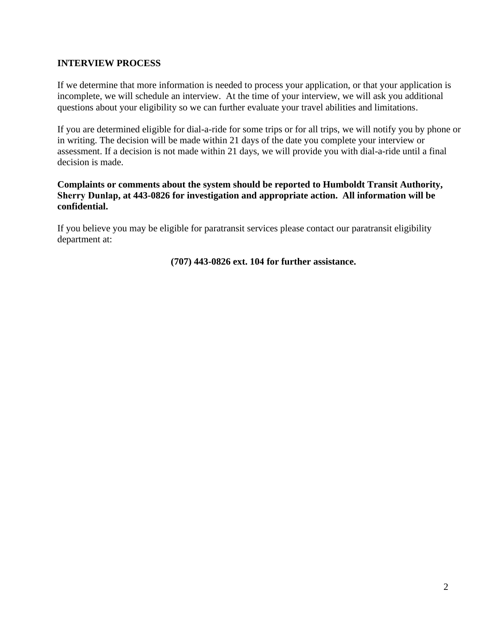#### **INTERVIEW PROCESS**

If we determine that more information is needed to process your application, or that your application is incomplete, we will schedule an interview. At the time of your interview, we will ask you additional questions about your eligibility so we can further evaluate your travel abilities and limitations.

If you are determined eligible for dial-a-ride for some trips or for all trips, we will notify you by phone or in writing. The decision will be made within 21 days of the date you complete your interview or assessment. If a decision is not made within 21 days, we will provide you with dial-a-ride until a final decision is made.

#### **Complaints or comments about the system should be reported to Humboldt Transit Authority, Sherry Dunlap, at 443-0826 for investigation and appropriate action. All information will be confidential.**

If you believe you may be eligible for paratransit services please contact our paratransit eligibility department at:

**(707) 443-0826 ext. 104 for further assistance.**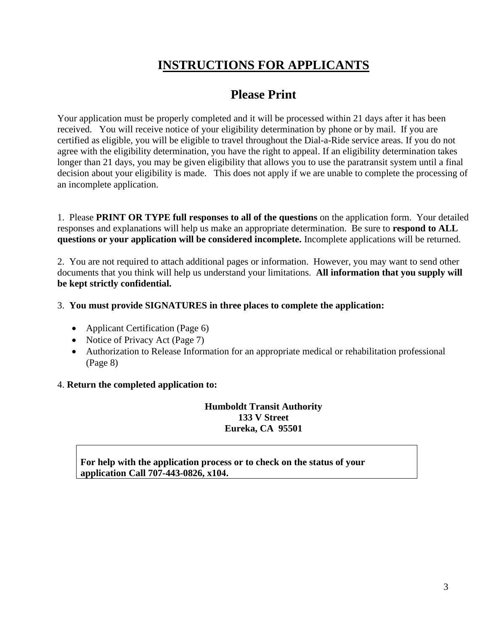# **INSTRUCTIONS FOR APPLICANTS**

## **Please Print**

Your application must be properly completed and it will be processed within 21 days after it has been received. You will receive notice of your eligibility determination by phone or by mail. If you are certified as eligible, you will be eligible to travel throughout the Dial-a-Ride service areas. If you do not agree with the eligibility determination, you have the right to appeal. If an eligibility determination takes longer than 21 days, you may be given eligibility that allows you to use the paratransit system until a final decision about your eligibility is made. This does not apply if we are unable to complete the processing of an incomplete application.

1. Please **PRINT OR TYPE full responses to all of the questions** on the application form. Your detailed responses and explanations will help us make an appropriate determination. Be sure to **respond to ALL questions or your application will be considered incomplete.** Incomplete applications will be returned.

2. You are not required to attach additional pages or information. However, you may want to send other documents that you think will help us understand your limitations. **All information that you supply will be kept strictly confidential.**

#### 3. **You must provide SIGNATURES in three places to complete the application:**

- Applicant Certification (Page 6)
- Notice of Privacy Act (Page 7)
- Authorization to Release Information for an appropriate medical or rehabilitation professional (Page 8)

#### 4. **Return the completed application to:**

**Humboldt Transit Authority 133 V Street Eureka, CA 95501**

**For help with the application process or to check on the status of your application Call 707-443-0826, x104.**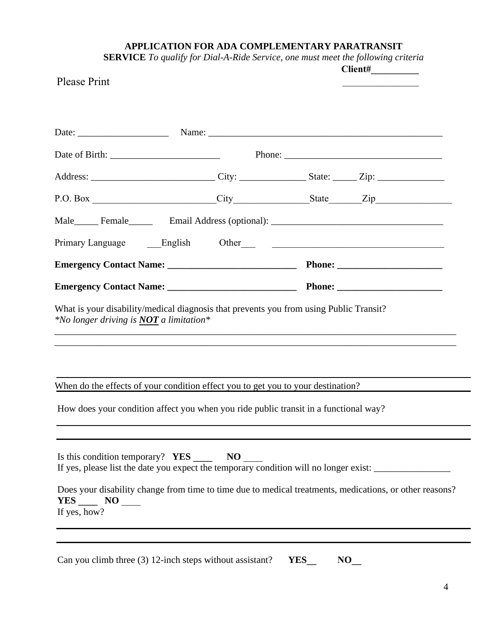### **APPLICATION FOR ADA COMPLEMENTARY PARATRANSIT**

| <b>SERVICE</b> To qualify for Dial-A-Ride Service, one must meet the following criteria |                 |
|-----------------------------------------------------------------------------------------|-----------------|
|                                                                                         | $\Gamma$ liant# |

| <b>Please Print</b>                                                                                                                                                                                                                                                                                          |  | $\mathbf{C}$ hench $\mathbf{H}$ |
|--------------------------------------------------------------------------------------------------------------------------------------------------------------------------------------------------------------------------------------------------------------------------------------------------------------|--|---------------------------------|
|                                                                                                                                                                                                                                                                                                              |  |                                 |
|                                                                                                                                                                                                                                                                                                              |  |                                 |
|                                                                                                                                                                                                                                                                                                              |  |                                 |
|                                                                                                                                                                                                                                                                                                              |  |                                 |
|                                                                                                                                                                                                                                                                                                              |  |                                 |
|                                                                                                                                                                                                                                                                                                              |  |                                 |
|                                                                                                                                                                                                                                                                                                              |  |                                 |
|                                                                                                                                                                                                                                                                                                              |  |                                 |
| What is your disability/medical diagnosis that prevents you from using Public Transit?<br>*No longer driving is <b>NOT</b> a limitation*                                                                                                                                                                     |  |                                 |
| When do the effects of your condition effect you to get you to your destination?                                                                                                                                                                                                                             |  |                                 |
| How does your condition affect you when you ride public transit in a functional way?                                                                                                                                                                                                                         |  |                                 |
| Is this condition temporary? YES ________ NO<br>If yes, please list the date you expect the temporary condition will no longer exist: ________________________<br>Does your disability change from time to time due to medical treatments, medications, or other reasons?<br>$YES$ NO ______<br>If yes, how? |  |                                 |
|                                                                                                                                                                                                                                                                                                              |  |                                 |

Can you climb three (3) 12-inch steps without assistant? **YES\_\_ NO\_**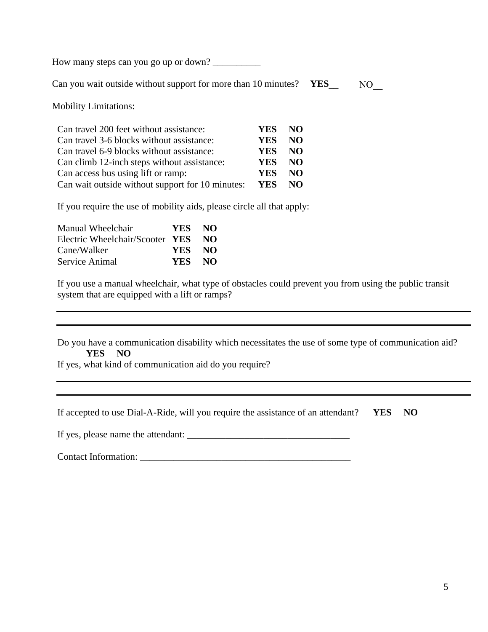How many steps can you go up or down?

 Can you wait outside without support for more than 10 minutes? **YES\_\_** NO

Mobility Limitations:

| Can travel 200 feet without assistance:          | YES.       | NO. |
|--------------------------------------------------|------------|-----|
| Can travel 3-6 blocks without assistance:        | <b>YES</b> | NO. |
| Can travel 6-9 blocks without assistance:        | YES.       | NO. |
| Can climb 12-inch steps without assistance:      | YES.       | NO. |
| Can access bus using lift or ramp:               | <b>YES</b> | NO. |
| Can wait outside without support for 10 minutes: | <b>YES</b> | NO. |

If you require the use of mobility aids, please circle all that apply:

| Manual Wheelchair               | YES NO |    |
|---------------------------------|--------|----|
| Electric Wheelchair/Scooter YES |        | NO |
| Cane/Walker                     | YES NO |    |
| Service Animal                  | YES NO |    |

If you use a manual wheelchair, what type of obstacles could prevent you from using the public transit system that are equipped with a lift or ramps?

Do you have a communication disability which necessitates the use of some type of communication aid? **YES NO**

If yes, what kind of communication aid do you require?

If yes, please name the attendant: \_\_\_\_\_\_\_\_\_\_\_\_\_\_\_\_\_\_\_\_\_\_\_\_\_\_\_\_\_\_\_\_\_\_

Contact Information: \_\_\_\_\_\_\_\_\_\_\_\_\_\_\_\_\_\_\_\_\_\_\_\_\_\_\_\_\_\_\_\_\_\_\_\_\_\_\_\_\_\_\_\_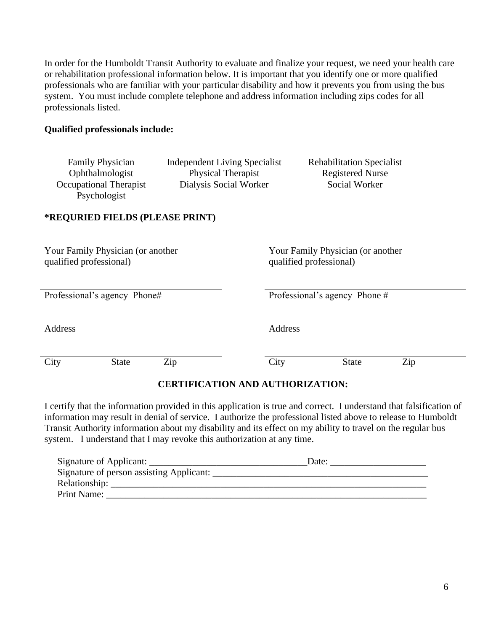In order for the Humboldt Transit Authority to evaluate and finalize your request, we need your health care or rehabilitation professional information below. It is important that you identify one or more qualified professionals who are familiar with your particular disability and how it prevents you from using the bus system. You must include complete telephone and address information including zips codes for all professionals listed.

#### **Qualified professionals include:**

| <b>Family Physician</b><br>Ophthalmologist<br><b>Occupational Therapist</b><br>Psychologist | <b>Independent Living Specialist</b><br>Physical Therapist<br>Dialysis Social Worker |         | <b>Rehabilitation Specialist</b><br><b>Registered Nurse</b><br>Social Worker |     |
|---------------------------------------------------------------------------------------------|--------------------------------------------------------------------------------------|---------|------------------------------------------------------------------------------|-----|
| *REQURIED FIELDS (PLEASE PRINT)                                                             |                                                                                      |         |                                                                              |     |
| Your Family Physician (or another<br>qualified professional)                                |                                                                                      |         | Your Family Physician (or another<br>qualified professional)                 |     |
| Professional's agency Phone#                                                                |                                                                                      |         | Professional's agency Phone #                                                |     |
| Address                                                                                     |                                                                                      | Address |                                                                              |     |
| City<br><b>State</b>                                                                        | Zip<br><b>CERTIFICATION AND AUTHORIZATION:</b>                                       | City    | <b>State</b>                                                                 | Zip |

I certify that the information provided in this application is true and correct. I understand that falsification of information may result in denial of service. I authorize the professional listed above to release to Humboldt Transit Authority information about my disability and its effect on my ability to travel on the regular bus system. I understand that I may revoke this authorization at any time.

| Signature of Applicant:                  | Date: |
|------------------------------------------|-------|
| Signature of person assisting Applicant: |       |
| Relationship:                            |       |
| Print Name:                              |       |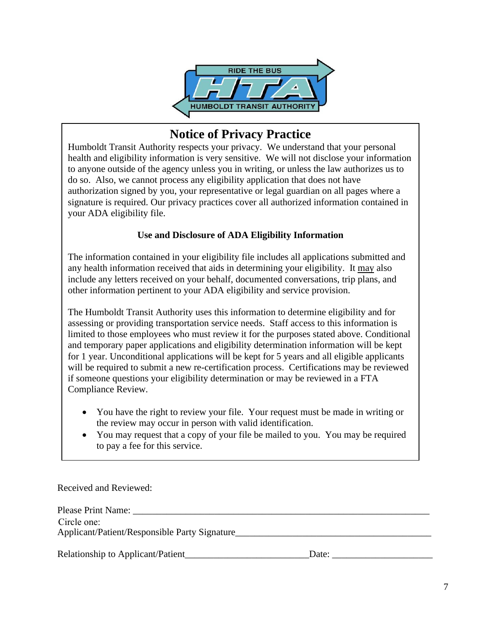

## **Notice of Privacy Practice**

Humboldt Transit Authority respects your privacy. We understand that your personal health and eligibility information is very sensitive. We will not disclose your information to anyone outside of the agency unless you in writing, or unless the law authorizes us to do so. Also, we cannot process any eligibility application that does not have authorization signed by you, your representative or legal guardian on all pages where a signature is required. Our privacy practices cover all authorized information contained in your ADA eligibility file.

#### **Use and Disclosure of ADA Eligibility Information**

The information contained in your eligibility file includes all applications submitted and any health information received that aids in determining your eligibility. It may also include any letters received on your behalf, documented conversations, trip plans, and other information pertinent to your ADA eligibility and service provision.

The Humboldt Transit Authority uses this information to determine eligibility and for assessing or providing transportation service needs. Staff access to this information is limited to those employees who must review it for the purposes stated above. Conditional and temporary paper applications and eligibility determination information will be kept for 1 year. Unconditional applications will be kept for 5 years and all eligible applicants will be required to submit a new re-certification process. Certifications may be reviewed if someone questions your eligibility determination or may be reviewed in a FTA Compliance Review.

- You have the right to review your file. Your request must be made in writing or the review may occur in person with valid identification.
- You may request that a copy of your file be mailed to you. You may be required to pay a fee for this service.

Received and Reviewed:

| Date: |
|-------|